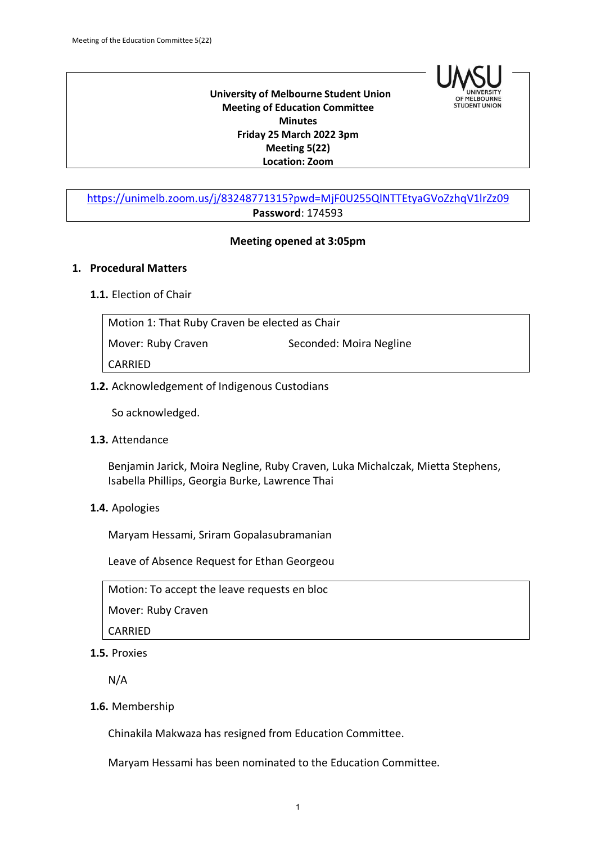

 **University of Melbourne Student Union Meeting of Education Committee Minutes Friday 25 March 2022 3pm Meeting 5(22) Location: Zoom**

# https://unimelb.zoom.us/j/83248771315?pwd=MjF0U255QlNTTEtyaGVoZzhqV1lrZz09 **Password**: 174593

#### **Meeting opened at 3:05pm**

#### **1. Procedural Matters**

### **1.1.** Election of Chair

Motion 1: That Ruby Craven be elected as Chair Mover: Ruby Craven Seconded: Moira Negline CARRIED

## **1.2.** Acknowledgement of Indigenous Custodians

So acknowledged.

#### **1.3.** Attendance

Benjamin Jarick, Moira Negline, Ruby Craven, Luka Michalczak, Mietta Stephens, Isabella Phillips, Georgia Burke, Lawrence Thai

# **1.4.** Apologies

Maryam Hessami, Sriram Gopalasubramanian

Leave of Absence Request for Ethan Georgeou

Motion: To accept the leave requests en bloc

Mover: Ruby Craven

CARRIED

**1.5.** Proxies

N/A

**1.6.** Membership

Chinakila Makwaza has resigned from Education Committee.

Maryam Hessami has been nominated to the Education Committee.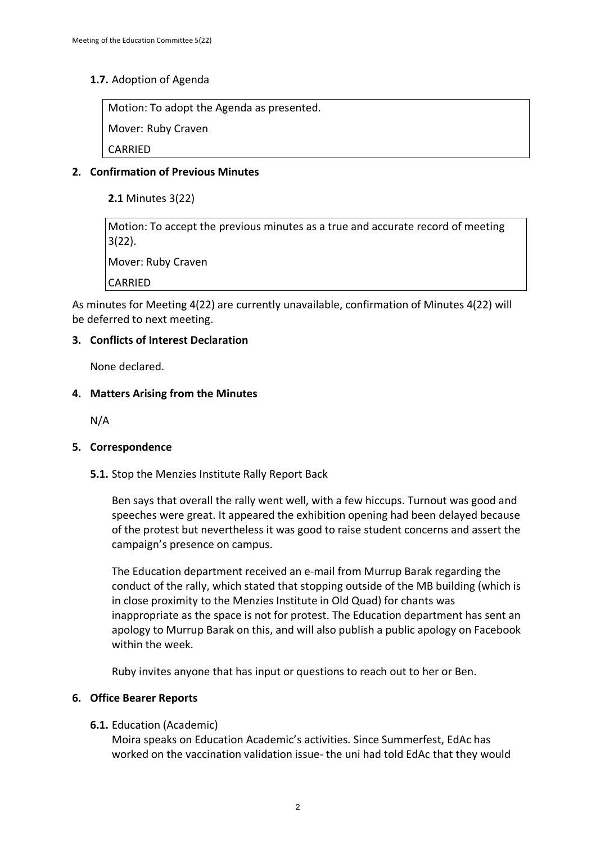# **1.7.** Adoption of Agenda

Motion: To adopt the Agenda as presented.

Mover: Ruby Craven

CARRIED

# **2. Confirmation of Previous Minutes**

**2.1** Minutes 3(22)

Motion: To accept the previous minutes as a true and accurate record of meeting 3(22).

Mover: Ruby Craven

CARRIED

As minutes for Meeting 4(22) are currently unavailable, confirmation of Minutes 4(22) will be deferred to next meeting.

## **3. Conflicts of Interest Declaration**

None declared.

#### **4. Matters Arising from the Minutes**

N/A

#### **5. Correspondence**

**5.1.** Stop the Menzies Institute Rally Report Back

Ben says that overall the rally went well, with a few hiccups. Turnout was good and speeches were great. It appeared the exhibition opening had been delayed because of the protest but nevertheless it was good to raise student concerns and assert the campaign's presence on campus.

The Education department received an e-mail from Murrup Barak regarding the conduct of the rally, which stated that stopping outside of the MB building (which is in close proximity to the Menzies Institute in Old Quad) for chants was inappropriate as the space is not for protest. The Education department has sent an apology to Murrup Barak on this, and will also publish a public apology on Facebook within the week.

Ruby invites anyone that has input or questions to reach out to her or Ben.

#### **6. Office Bearer Reports**

#### **6.1.** Education (Academic)

Moira speaks on Education Academic's activities. Since Summerfest, EdAc has worked on the vaccination validation issue- the uni had told EdAc that they would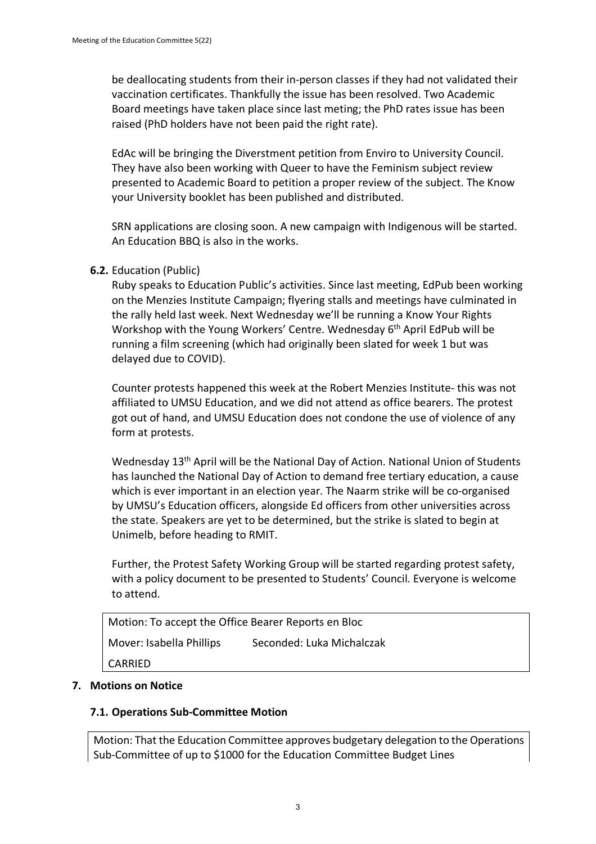be deallocating students from their in-person classes if they had not validated their vaccination certificates. Thankfully the issue has been resolved. Two Academic Board meetings have taken place since last meting; the PhD rates issue has been raised (PhD holders have not been paid the right rate).

EdAc will be bringing the Diverstment petition from Enviro to University Council. They have also been working with Queer to have the Feminism subject review presented to Academic Board to petition a proper review of the subject. The Know your University booklet has been published and distributed.

SRN applications are closing soon. A new campaign with Indigenous will be started. An Education BBQ is also in the works.

## **6.2.** Education (Public)

Ruby speaks to Education Public's activities. Since last meeting, EdPub been working on the Menzies Institute Campaign; flyering stalls and meetings have culminated in the rally held last week. Next Wednesday we'll be running a Know Your Rights Workshop with the Young Workers' Centre. Wednesday 6<sup>th</sup> April EdPub will be running a film screening (which had originally been slated for week 1 but was delayed due to COVID).

Counter protests happened this week at the Robert Menzies Institute- this was not affiliated to UMSU Education, and we did not attend as office bearers. The protest got out of hand, and UMSU Education does not condone the use of violence of any form at protests.

Wednesday 13<sup>th</sup> April will be the National Day of Action. National Union of Students has launched the National Day of Action to demand free tertiary education, a cause which is ever important in an election year. The Naarm strike will be co-organised by UMSU's Education officers, alongside Ed officers from other universities across the state. Speakers are yet to be determined, but the strike is slated to begin at Unimelb, before heading to RMIT.

Further, the Protest Safety Working Group will be started regarding protest safety, with a policy document to be presented to Students' Council. Everyone is welcome to attend.

| Motion: To accept the Office Bearer Reports en Bloc |                           |  |
|-----------------------------------------------------|---------------------------|--|
| Mover: Isabella Phillips                            | Seconded: Luka Michalczak |  |
| CARRIED                                             |                           |  |

#### **7. Motions on Notice**

#### **7.1. Operations Sub-Committee Motion**

Motion: That the Education Committee approves budgetary delegation to the Operations Sub-Committee of up to \$1000 for the Education Committee Budget Lines